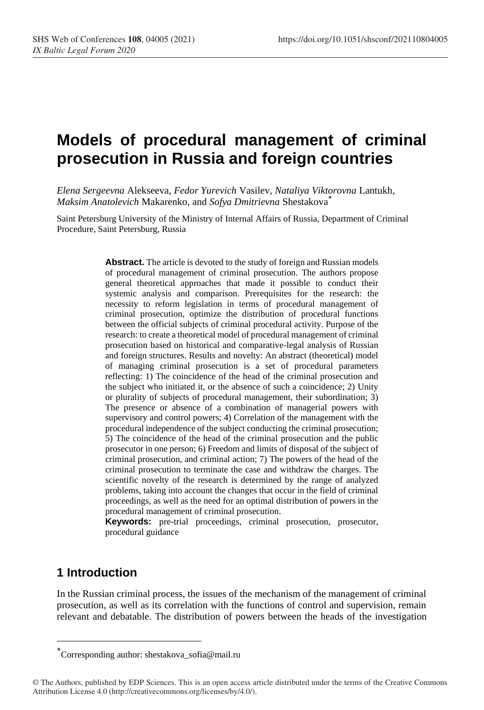# **Models of procedural management of criminal prosecution in Russia and foreign countries**

*Elena Sergeevna* Alekseeva*, Fedor Yurevich* Vasilev*, Nataliya Viktorovna* Lantukh*, Maksim Anatolevich* Makarenko*,* and *Sofya Dmitrievna* Shestakova\*

Saint Petersburg University of the Ministry of Internal Affairs of Russia, Department of Criminal Procedure, Saint Petersburg, Russia

> **Abstract.** The article is devoted to the study of foreign and Russian models of procedural management of criminal prosecution. The authors propose general theoretical approaches that made it possible to conduct their systemic analysis and comparison. Prerequisites for the research: the necessity to reform legislation in terms of procedural management of criminal prosecution, optimize the distribution of procedural functions between the official subjects of criminal procedural activity. Purpose of the research: to create a theoretical model of procedural management of criminal prosecution based on historical and comparative-legal analysis of Russian and foreign structures. Results and novelty: An abstract (theoretical) model of managing criminal prosecution is a set of procedural parameters reflecting: 1) The coincidence of the head of the criminal prosecution and the subject who initiated it, or the absence of such a coincidence; 2) Unity or plurality of subjects of procedural management, their subordination; 3) The presence or absence of a combination of managerial powers with supervisory and control powers; 4) Correlation of the management with the procedural independence of the subject conducting the criminal prosecution; 5) The coincidence of the head of the criminal prosecution and the public prosecutor in one person; 6) Freedom and limits of disposal of the subject of criminal prosecution, and criminal action; 7) The powers of the head of the criminal prosecution to terminate the case and withdraw the charges. The scientific novelty of the research is determined by the range of analyzed problems, taking into account the changes that occur in the field of criminal proceedings, as well as the need for an optimal distribution of powers in the procedural management of criminal prosecution.

> **Keywords:** pre-trial proceedings, criminal prosecution, prosecutor, procedural guidance

### **1 Introduction**

In the Russian criminal process, the issues of the mechanism of the management of criminal prosecution, as well as its correlation with the functions of control and supervision, remain relevant and debatable. The distribution of powers between the heads of the investigation

Corresponding author: shestakova\_sofia@mail.ru \*

<sup>©</sup> The Authors, published by EDP Sciences. This is an open access article distributed under the terms of the Creative Commons Attribution License 4.0 (http://creativecommons.org/licenses/by/4.0/).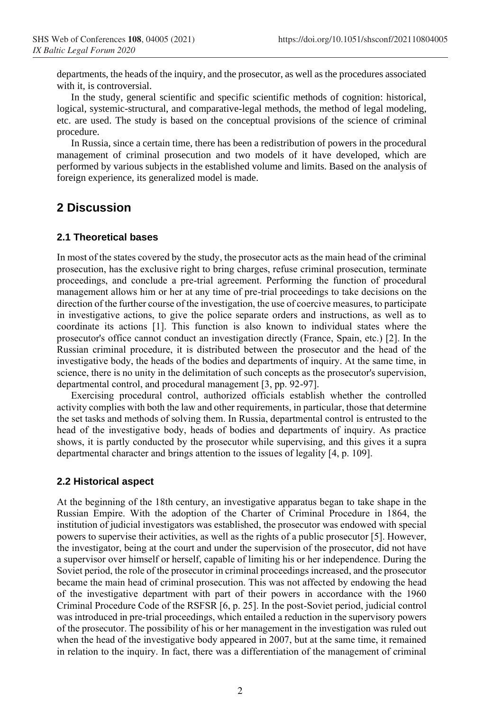departments, the heads of the inquiry, and the prosecutor, as well as the procedures associated with it, is controversial.

In the study, general scientific and specific scientific methods of cognition: historical, logical, systemic-structural, and comparative-legal methods, the method of legal modeling, etc. are used. The study is based on the conceptual provisions of the science of criminal procedure.

In Russia, since a certain time, there has been a redistribution of powers in the procedural management of criminal prosecution and two models of it have developed, which are performed by various subjects in the established volume and limits. Based on the analysis of foreign experience, its generalized model is made.

### **2 Discussion**

#### **2.1 Theoretical bases**

In most of the states covered by the study, the prosecutor acts as the main head of the criminal prosecution, has the exclusive right to bring charges, refuse criminal prosecution, terminate proceedings, and conclude a pre-trial agreement. Performing the function of procedural management allows him or her at any time of pre-trial proceedings to take decisions on the direction of the further course of the investigation, the use of coercive measures, to participate in investigative actions, to give the police separate orders and instructions, as well as to coordinate its actions [1]. This function is also known to individual states where the prosecutor's office cannot conduct an investigation directly (France, Spain, etc.) [2]. In the Russian criminal procedure, it is distributed between the prosecutor and the head of the investigative body, the heads of the bodies and departments of inquiry. At the same time, in science, there is no unity in the delimitation of such concepts as the prosecutor's supervision, departmental control, and procedural management [3, pp. 92-97].

Exercising procedural control, authorized officials establish whether the controlled activity complies with both the law and other requirements, in particular, those that determine the set tasks and methods of solving them. In Russia, departmental control is entrusted to the head of the investigative body, heads of bodies and departments of inquiry. As practice shows, it is partly conducted by the prosecutor while supervising, and this gives it a supra departmental character and brings attention to the issues of legality [4, p. 109].

#### **2.2 Historical aspect**

At the beginning of the 18th century, an investigative apparatus began to take shape in the Russian Empire. With the adoption of the Charter of Criminal Procedure in 1864, the institution of judicial investigators was established, the prosecutor was endowed with special powers to supervise their activities, as well as the rights of a public prosecutor [5]. However, the investigator, being at the court and under the supervision of the prosecutor, did not have a supervisor over himself or herself, capable of limiting his or her independence. During the Soviet period, the role of the prosecutor in criminal proceedings increased, and the prosecutor became the main head of criminal prosecution. This was not affected by endowing the head of the investigative department with part of their powers in accordance with the 1960 Criminal Procedure Code of the RSFSR [6, p. 25]. In the post-Soviet period, judicial control was introduced in pre-trial proceedings, which entailed a reduction in the supervisory powers of the prosecutor. The possibility of his or her management in the investigation was ruled out when the head of the investigative body appeared in 2007, but at the same time, it remained in relation to the inquiry. In fact, there was a differentiation of the management of criminal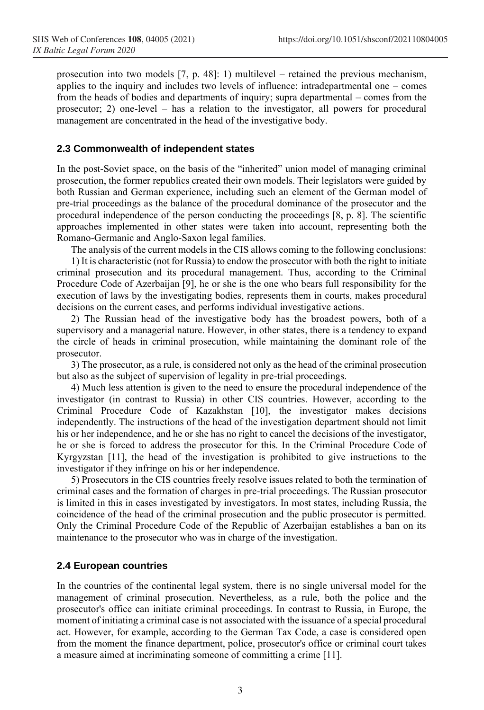prosecution into two models [7, p. 48]: 1) multilevel – retained the previous mechanism, applies to the inquiry and includes two levels of influence: intradepartmental one – comes from the heads of bodies and departments of inquiry; supra departmental – comes from the prosecutor; 2) one-level – has a relation to the investigator, all powers for procedural management are concentrated in the head of the investigative body.

#### **2.3 Commonwealth of independent states**

In the post-Soviet space, on the basis of the "inherited" union model of managing criminal prosecution, the former republics created their own models. Their legislators were guided by both Russian and German experience, including such an element of the German model of pre-trial proceedings as the balance of the procedural dominance of the prosecutor and the procedural independence of the person conducting the proceedings [8, p. 8]. The scientific approaches implemented in other states were taken into account, representing both the Romano-Germanic and Anglo-Saxon legal families.

The analysis of the current models in the CIS allows coming to the following conclusions:

1) It is characteristic (not for Russia) to endow the prosecutor with both the right to initiate criminal prosecution and its procedural management. Thus, according to the Criminal Procedure Code of Azerbaijan [9], he or she is the one who bears full responsibility for the execution of laws by the investigating bodies, represents them in courts, makes procedural decisions on the current cases, and performs individual investigative actions.

2) The Russian head of the investigative body has the broadest powers, both of a supervisory and a managerial nature. However, in other states, there is a tendency to expand the circle of heads in criminal prosecution, while maintaining the dominant role of the prosecutor.

3) The prosecutor, as a rule, is considered not only as the head of the criminal prosecution but also as the subject of supervision of legality in pre-trial proceedings.

4) Much less attention is given to the need to ensure the procedural independence of the investigator (in contrast to Russia) in other CIS countries. However, according to the Criminal Procedure Code of Kazakhstan [10], the investigator makes decisions independently. The instructions of the head of the investigation department should not limit his or her independence, and he or she has no right to cancel the decisions of the investigator, he or she is forced to address the prosecutor for this. In the Criminal Procedure Code of Kyrgyzstan [11], the head of the investigation is prohibited to give instructions to the investigator if they infringe on his or her independence.

5) Prosecutors in the CIS countries freely resolve issues related to both the termination of criminal cases and the formation of charges in pre-trial proceedings. The Russian prosecutor is limited in this in cases investigated by investigators. In most states, including Russia, the coincidence of the head of the criminal prosecution and the public prosecutor is permitted. Only the Criminal Procedure Code of the Republic of Azerbaijan establishes a ban on its maintenance to the prosecutor who was in charge of the investigation.

#### **2.4 European countries**

In the countries of the continental legal system, there is no single universal model for the management of criminal prosecution. Nevertheless, as a rule, both the police and the prosecutor's office can initiate criminal proceedings. In contrast to Russia, in Europe, the moment of initiating a criminal case is not associated with the issuance of a special procedural act. However, for example, according to the German Tax Code, a case is considered open from the moment the finance department, police, prosecutor's office or criminal court takes a measure aimed at incriminating someone of committing a crime [11].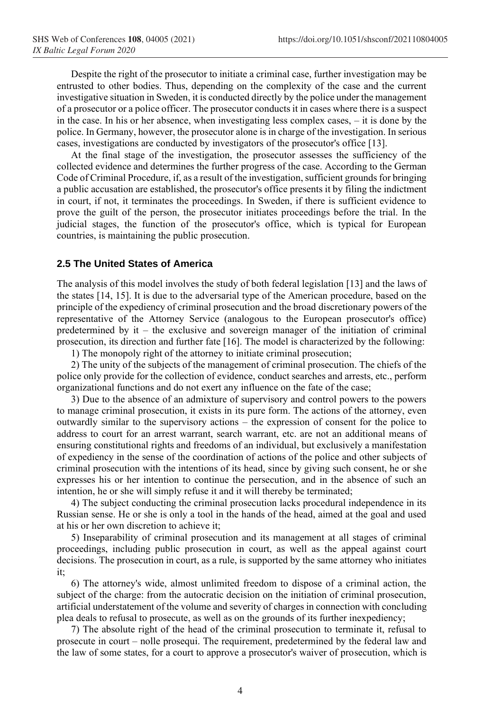Despite the right of the prosecutor to initiate a criminal case, further investigation may be entrusted to other bodies. Thus, depending on the complexity of the case and the current investigative situation in Sweden, it is conducted directly by the police under the management of a prosecutor or a police officer. The prosecutor conducts it in cases where there is a suspect in the case. In his or her absence, when investigating less complex cases, – it is done by the police. In Germany, however, the prosecutor alone is in charge of the investigation. In serious cases, investigations are conducted by investigators of the prosecutor's office [13].

At the final stage of the investigation, the prosecutor assesses the sufficiency of the collected evidence and determines the further progress of the case. According to the German Code of Criminal Procedure, if, as a result of the investigation, sufficient grounds for bringing a public accusation are established, the prosecutor's office presents it by filing the indictment in court, if not, it terminates the proceedings. In Sweden, if there is sufficient evidence to prove the guilt of the person, the prosecutor initiates proceedings before the trial. In the judicial stages, the function of the prosecutor's office, which is typical for European countries, is maintaining the public prosecution.

#### **2.5 The United States of America**

The analysis of this model involves the study of both federal legislation [13] and the laws of the states [14, 15]. It is due to the adversarial type of the American procedure, based on the principle of the expediency of criminal prosecution and the broad discretionary powers of the representative of the Attorney Service (analogous to the European prosecutor's office) predetermined by it – the exclusive and sovereign manager of the initiation of criminal prosecution, its direction and further fate [16]. The model is characterized by the following:

1) The monopoly right of the attorney to initiate criminal prosecution;

2) The unity of the subjects of the management of criminal prosecution. The chiefs of the police only provide for the collection of evidence, conduct searches and arrests, etc., perform organizational functions and do not exert any influence on the fate of the case;

3) Due to the absence of an admixture of supervisory and control powers to the powers to manage criminal prosecution, it exists in its pure form. The actions of the attorney, even outwardly similar to the supervisory actions – the expression of consent for the police to address to court for an arrest warrant, search warrant, etc. are not an additional means of ensuring constitutional rights and freedoms of an individual, but exclusively a manifestation of expediency in the sense of the coordination of actions of the police and other subjects of criminal prosecution with the intentions of its head, since by giving such consent, he or she expresses his or her intention to continue the persecution, and in the absence of such an intention, he or she will simply refuse it and it will thereby be terminated;

4) The subject conducting the criminal prosecution lacks procedural independence in its Russian sense. He or she is only a tool in the hands of the head, aimed at the goal and used at his or her own discretion to achieve it;

5) Inseparability of criminal prosecution and its management at all stages of criminal proceedings, including public prosecution in court, as well as the appeal against court decisions. The prosecution in court, as a rule, is supported by the same attorney who initiates it;

6) The attorney's wide, almost unlimited freedom to dispose of a criminal action, the subject of the charge: from the autocratic decision on the initiation of criminal prosecution, artificial understatement of the volume and severity of charges in connection with concluding plea deals to refusal to prosecute, as well as on the grounds of its further inexpediency;

7) The absolute right of the head of the criminal prosecution to terminate it, refusal to prosecute in court – nolle prosequi. The requirement, predetermined by the federal law and the law of some states, for a court to approve a prosecutor's waiver of prosecution, which is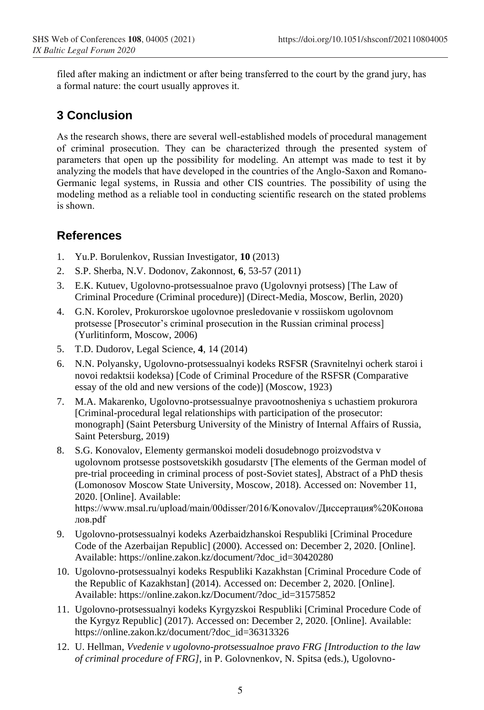filed after making an indictment or after being transferred to the court by the grand jury, has a formal nature: the court usually approves it.

## **3 Conclusion**

As the research shows, there are several well-established models of procedural management of criminal prosecution. They can be characterized through the presented system of parameters that open up the possibility for modeling. An attempt was made to test it by analyzing the models that have developed in the countries of the Anglo-Saxon and Romano-Germanic legal systems, in Russia and other CIS countries. The possibility of using the modeling method as a reliable tool in conducting scientific research on the stated problems is shown.

### **References**

- 1. Yu.P. Borulenkov, Russian Investigator, **10** (2013)
- 2. S.P. Sherba, N.V. Dodonov, Zakonnost, **6**, 53-57 (2011)
- 3. E.K. Kutuev, Ugolovno-protsessualnoe pravo (Ugolovnyi protsess) [The Law of Criminal Procedure (Criminal procedure)] (Direct-Media, Moscow, Berlin, 2020)
- 4. G.N. Korolev, Prokurorskoe ugolovnoe presledovanie v rossiiskom ugolovnom protsesse [Prosecutor's criminal prosecution in the Russian criminal process] (Yurlitinform, Moscow, 2006)
- 5. T.D. Dudorov, Legal Science, **4**, 14 (2014)
- 6. N.N. Polyansky, Ugolovno-protsessualnyi kodeks RSFSR (Sravnitelnyi ocherk staroi i novoi redaktsii kodeksa) [Code of Criminal Procedure of the RSFSR (Comparative essay of the old and new versions of the code)] (Moscow, 1923)
- 7. M.A. Makarenko, Ugolovno-protsessualnye pravootnosheniya s uchastiem prokurora [Criminal-procedural legal relationships with participation of the prosecutor: monograph] (Saint Petersburg University of the Ministry of Internal Affairs of Russia, Saint Petersburg, 2019)
- 8. S.G. Konovalov, Elementy germanskoi modeli dosudebnogo proizvodstva v ugolovnom protsesse postsovetskikh gosudarstv [The elements of the German model of pre-trial proceeding in criminal process of post-Soviet states], Abstract of a PhD thesis (Lomonosov Moscow State University, Moscow, 2018). Accessed on: November 11, 2020. [Online]. Available: https://www.msal.ru/upload/main/00disser/2016/Konovalov/Диссертация%20Конова лов.pdf
- 9. Ugolovno-protsessualnyi kodeks Azerbaidzhanskoi Respubliki [Criminal Procedure Code of the Azerbaijan Republic] (2000). Accessed on: December 2, 2020. [Online]. Available: https://online.zakon.kz/document/?doc\_id=30420280
- 10. Ugolovno-protsessualnyi kodeks Respubliki Kazakhstan [Criminal Procedure Code of the Republic of Kazakhstan] (2014). Accessed on: December 2, 2020. [Online]. Available: https://online.zakon.kz/Document/?doc\_id=31575852
- 11. Ugolovno-protsessualnyi kodeks Kyrgyzskoi Respubliki [Criminal Procedure Code of the Kyrgyz Republic] (2017). Accessed on: December 2, 2020. [Online]. Available: https://online.zakon.kz/document/?doc\_id=36313326
- 12. U. Hellman, *Vvedenie v ugolovno-protsessualnoe pravo FRG [Introduction to the law of criminal procedure of FRG]*, in P. Golovnenkov, N. Spitsa (eds.), Ugolovno-